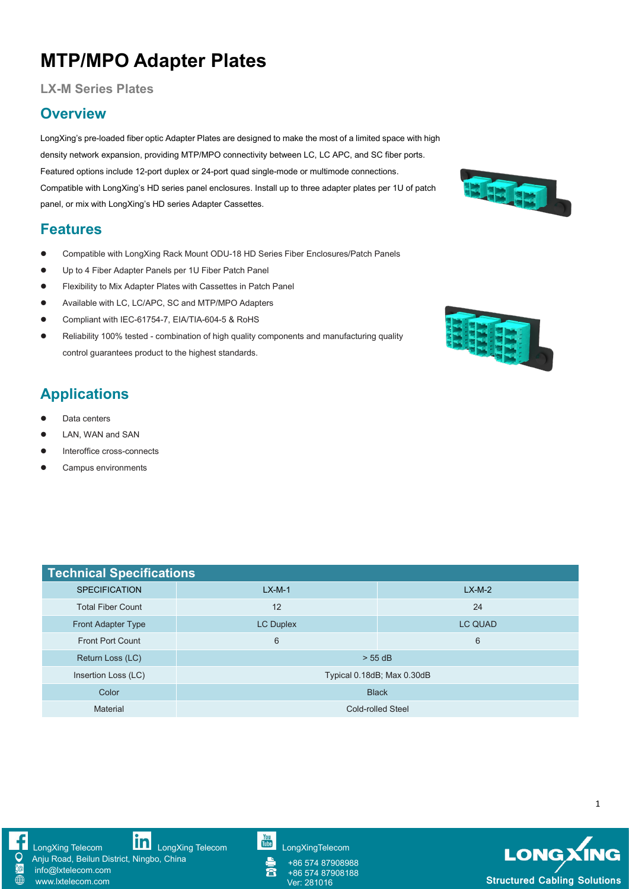## **MTP/MPO Adapter Plates**

#### **LX-M Series Plates**

### **Overview**

LongXing's pre-loaded fiber optic Adapter Plates are designed to make the most of a limited space with high density network expansion, providing MTP/MPO connectivity between LC, LC APC, and SC fiber ports. Featured options include 12-port duplex or 24-port quad single-mode or multimode connections. Featured options include 12-politicially of 2-politicially series. Install up to three adapter plates per 1U of patch<br>Compatible with LongXing's HD series panel enclosures. Install up to three adapter plates per 1U of patc panel, or mix with LongXing's HD series Adapter Cassettes.

### **Features**

- Compatible with LongXing Rack Mount ODU-18 HD Series Fiber Enclosures/Patch Panels
- Up to 4 Fiber Adapter Panels per 1U Fiber Patch Panel
- Flexibility to Mix Adapter Plates with Cassettes in Patch Panel
- Available with LC, LC/APC, SC and MTP/MPO Adapters
- Compliant with IEC-61754-7, EIA/TIA-604-5 & RoHS
- Compliant with IEC-61754-7, EIA/TIA-604-5 & RoHS<br>● Reliability 100% tested combination of high quality components and manufacturing quality<br>● Reliability 100% tested combination of high quality components and manufa control guarantees product to the highest standards.

### **Applications**

- Data centers
- $\bullet$  LAN, WAN and SAN
- Interoffice cross-connects
- **•** Campus environments

| <b>Technical Specifications</b> |                            |                |  |  |  |
|---------------------------------|----------------------------|----------------|--|--|--|
| <b>SPECIFICATION</b>            | $LX-M-1$                   | $LX-M-2$       |  |  |  |
| <b>Total Fiber Count</b>        | 12                         | 24             |  |  |  |
| Front Adapter Type              | <b>LC Duplex</b>           | <b>LC QUAD</b> |  |  |  |
| <b>Front Port Count</b>         | 6                          | 6              |  |  |  |
| Return Loss (LC)                | $> 55$ dB                  |                |  |  |  |
| Insertion Loss (LC)             | Typical 0.18dB; Max 0.30dB |                |  |  |  |
| Color                           | <b>Black</b>               |                |  |  |  |
| <b>Material</b>                 | <b>Cold-rolled Steel</b>   |                |  |  |  |

[LongXing](https://www.linkedin.com/company/longxing-telecom) Telecom **Lim** LongXing Telecom **Limitation** [LongXingTelecom](https://www.youtube.com/user/LongXingTelecom) Anju Road, Beilun District, Ningbo, China

∰

info@lxtelecom.com [www.lxtelecom.com](http://www.lxtelecom.com/)



+86 574 87908988 富 +86 574 87908188





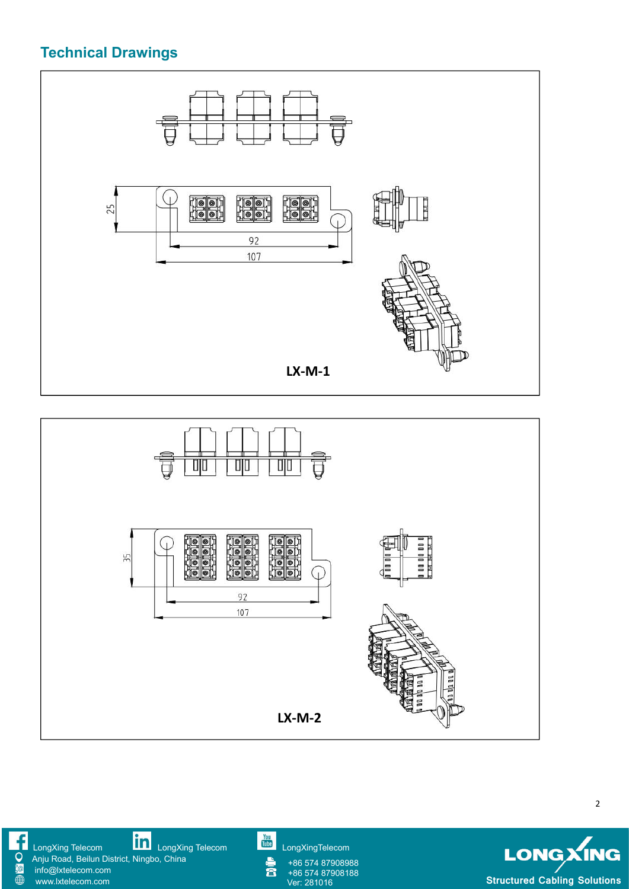### **Technical Drawings**

O **Fo** 

 $\overline{\oplus}$ 







2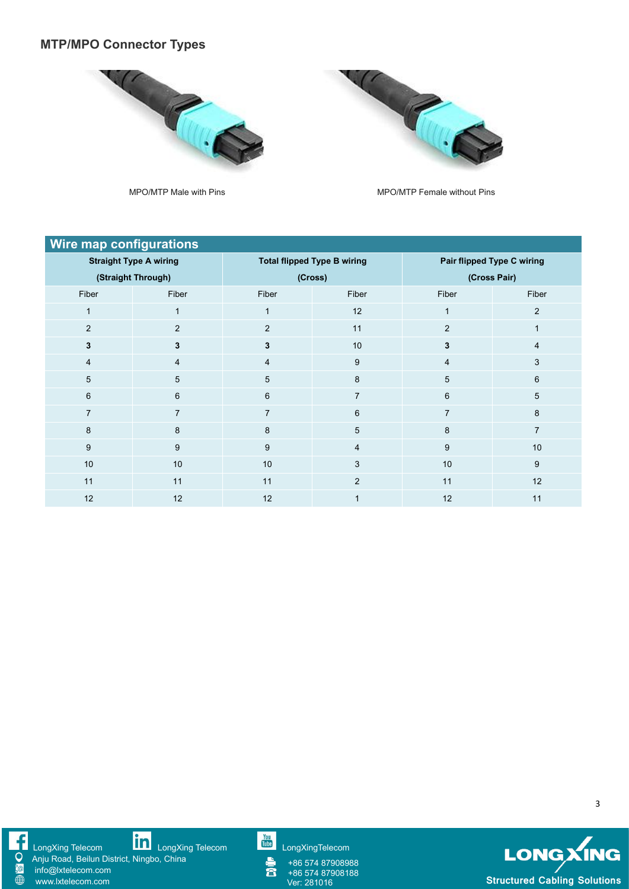### **MTP/MPO Connector Types**



MPO/MTP Male with Pins MPO/MTP Female without Pins

**CALGE** 

| <b>Wire map configurations</b> |                |                                    |                         |                            |                |  |  |
|--------------------------------|----------------|------------------------------------|-------------------------|----------------------------|----------------|--|--|
| <b>Straight Type A wiring</b>  |                | <b>Total flipped Type B wiring</b> |                         | Pair flipped Type C wiring |                |  |  |
| (Straight Through)             |                | (Cross)                            |                         | (Cross Pair)               |                |  |  |
| Fiber                          | Fiber          | Fiber                              | Fiber                   | Fiber                      | Fiber          |  |  |
|                                |                | 1                                  | 12                      |                            | $\overline{2}$ |  |  |
| $\overline{2}$                 | $\overline{2}$ | $\overline{2}$                     | 11                      | 2                          |                |  |  |
| $\mathbf{3}$                   | $\mathbf{3}$   | 3                                  | 10                      | 3                          | 4              |  |  |
| 4                              | $\overline{4}$ | 4                                  | 9                       | $\overline{4}$             | 3              |  |  |
| $5\phantom{.0}$                | 5              | 5                                  | 8                       | 5                          | 6              |  |  |
| 6                              | 6              | 6                                  | $\overline{7}$          | 6                          | 5              |  |  |
|                                |                | 7                                  | 6                       | $\overline{7}$             | 8              |  |  |
| 8                              | 8              | 8                                  | $5\phantom{.0}$         | 8                          | $\overline{7}$ |  |  |
| 9                              | 9              | 9                                  | $\overline{4}$          | 9                          | 10             |  |  |
| $10$                           | 10             | 10                                 | 3                       | 10                         | 9              |  |  |
| 11                             | 11             | 11                                 | 2                       | 11                         | 12             |  |  |
| 12                             | 12             | 12                                 | $\overline{\mathbf{A}}$ | 12                         | 11             |  |  |



[LongXing](https://www.linkedin.com/company/longxing-telecom) Telecom LongXing Telecom [LongXingTelecom](https://www.youtube.com/user/LongXingTelecom) LongXingTelecom LongXingTelecom Anju Road, Beilun District, Ningbo, China

info@lxtelecom.com [www.lxtelecom.com](http://www.lxtelecom.com/)

+86 574 87908988 +86 574 87908188<br>Ver: 281016



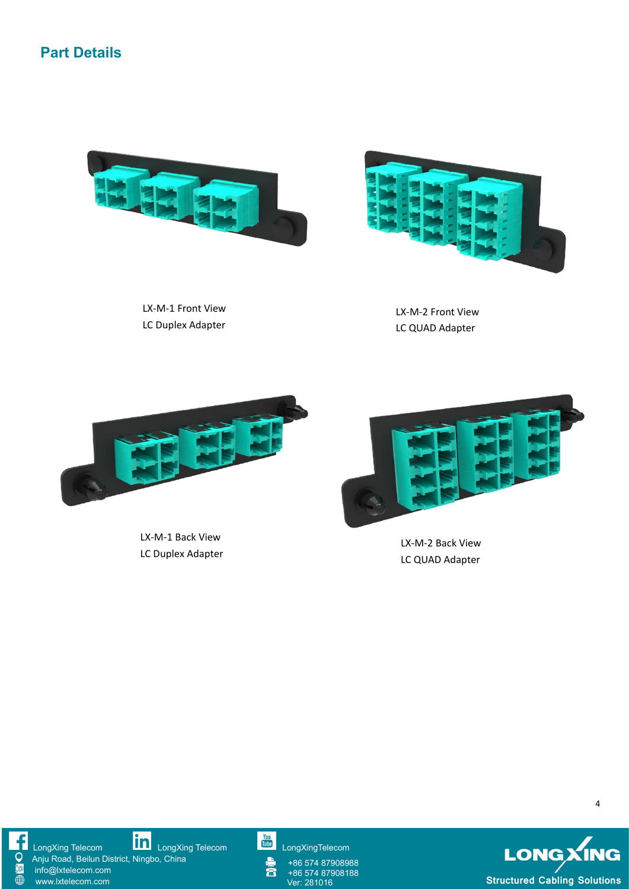





LX-M-1 Front View LC Duplex Adapter

LX-M-2 Front View LC QUAD Adapter



LX-M-1 Back View LC Duplex Adapter



LX-M-2 Back View LC QUAD Adapter



[LongXing](https://www.linkedin.com/company/longxing-telecom) Telecom LongXing Telecom [LongXingTelecom](https://www.youtube.com/user/LongXingTelecom) LongXingTelecom LongXingTelecom

Anju Road, Beilun District, Ningbo, China info@lxtelecom.com

[www.lxtelecom.com](http://www.lxtelecom.com/)

含

+86 574 87908988 +86 574 87908188<br>Ver: 281016



4